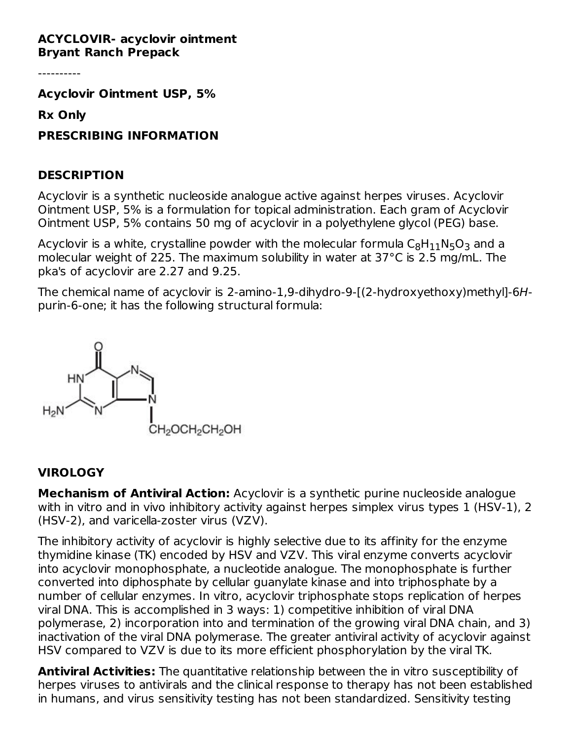#### **ACYCLOVIR- acyclovir ointment Bryant Ranch Prepack**

----------

**Acyclovir Ointment USP, 5%**

**Rx Only**

**PRESCRIBING INFORMATION**

### **DESCRIPTION**

Acyclovir is a synthetic nucleoside analogue active against herpes viruses. Acyclovir Ointment USP, 5% is a formulation for topical administration. Each gram of Acyclovir Ointment USP, 5% contains 50 mg of acyclovir in a polyethylene glycol (PEG) base.

Acyclovir is a white, crystalline powder with the molecular formula  $\mathsf{C}_8\mathsf{H}_{11}\mathsf{N}_5\mathsf{O}_3$  and a molecular weight of 225. The maximum solubility in water at 37°C is 2.5 mg/mL. The pka's of acyclovir are 2.27 and 9.25.

The chemical name of acyclovir is 2-amino-1,9-dihydro-9-[(2-hydroxyethoxy)methyl]-6Hpurin-6-one; it has the following structural formula:



### **VIROLOGY**

**Mechanism of Antiviral Action:** Acyclovir is a synthetic purine nucleoside analogue with in vitro and in vivo inhibitory activity against herpes simplex virus types 1 (HSV-1), 2 (HSV-2), and varicella-zoster virus (VZV).

The inhibitory activity of acyclovir is highly selective due to its affinity for the enzyme thymidine kinase (TK) encoded by HSV and VZV. This viral enzyme converts acyclovir into acyclovir monophosphate, a nucleotide analogue. The monophosphate is further converted into diphosphate by cellular guanylate kinase and into triphosphate by a number of cellular enzymes. In vitro, acyclovir triphosphate stops replication of herpes viral DNA. This is accomplished in 3 ways: 1) competitive inhibition of viral DNA polymerase, 2) incorporation into and termination of the growing viral DNA chain, and 3) inactivation of the viral DNA polymerase. The greater antiviral activity of acyclovir against HSV compared to VZV is due to its more efficient phosphorylation by the viral TK.

**Antiviral Activities:** The quantitative relationship between the in vitro susceptibility of herpes viruses to antivirals and the clinical response to therapy has not been established in humans, and virus sensitivity testing has not been standardized. Sensitivity testing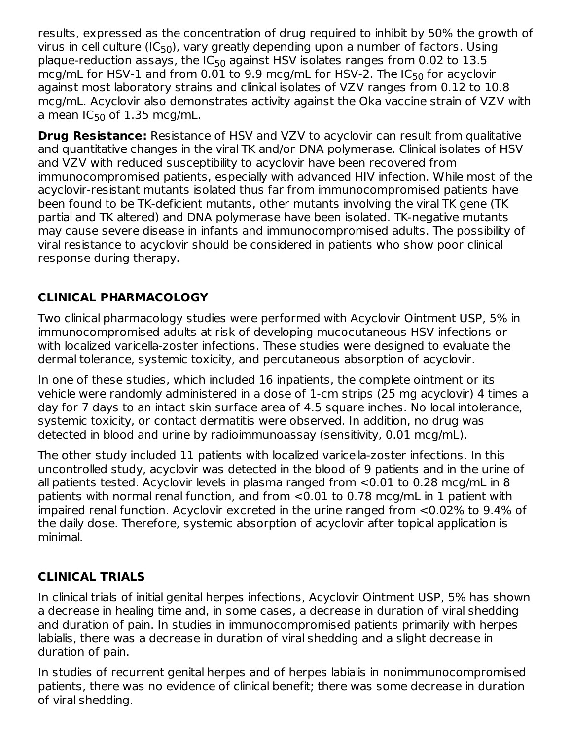results, expressed as the concentration of drug required to inhibit by 50% the growth of virus in cell culture (IC<sub>50</sub>), vary greatly depending upon a number of factors. Using plaque-reduction assays, the IC $_{50}$  against HSV isolates ranges from 0.02 to 13.5  $\,$ mcg/mL for HSV-1 and from 0.01 to 9.9 mcg/mL for HSV-2. The IC $_{50}$  for acyclovir against most laboratory strains and clinical isolates of VZV ranges from 0.12 to 10.8 mcg/mL. Acyclovir also demonstrates activity against the Oka vaccine strain of VZV with a mean IC $_{50}$  of 1.35 mcg/mL.

**Drug Resistance:** Resistance of HSV and VZV to acyclovir can result from qualitative and quantitative changes in the viral TK and/or DNA polymerase. Clinical isolates of HSV and VZV with reduced susceptibility to acyclovir have been recovered from immunocompromised patients, especially with advanced HIV infection. While most of the acyclovir-resistant mutants isolated thus far from immunocompromised patients have been found to be TK-deficient mutants, other mutants involving the viral TK gene (TK partial and TK altered) and DNA polymerase have been isolated. TK-negative mutants may cause severe disease in infants and immunocompromised adults. The possibility of viral resistance to acyclovir should be considered in patients who show poor clinical response during therapy.

# **CLINICAL PHARMACOLOGY**

Two clinical pharmacology studies were performed with Acyclovir Ointment USP, 5% in immunocompromised adults at risk of developing mucocutaneous HSV infections or with localized varicella-zoster infections. These studies were designed to evaluate the dermal tolerance, systemic toxicity, and percutaneous absorption of acyclovir.

In one of these studies, which included 16 inpatients, the complete ointment or its vehicle were randomly administered in a dose of 1-cm strips (25 mg acyclovir) 4 times a day for 7 days to an intact skin surface area of 4.5 square inches. No local intolerance, systemic toxicity, or contact dermatitis were observed. In addition, no drug was detected in blood and urine by radioimmunoassay (sensitivity, 0.01 mcg/mL).

The other study included 11 patients with localized varicella-zoster infections. In this uncontrolled study, acyclovir was detected in the blood of 9 patients and in the urine of all patients tested. Acyclovir levels in plasma ranged from <0.01 to 0.28 mcg/mL in 8 patients with normal renal function, and from <0.01 to 0.78 mcg/mL in 1 patient with impaired renal function. Acyclovir excreted in the urine ranged from <0.02% to 9.4% of the daily dose. Therefore, systemic absorption of acyclovir after topical application is minimal.

# **CLINICAL TRIALS**

In clinical trials of initial genital herpes infections, Acyclovir Ointment USP, 5% has shown a decrease in healing time and, in some cases, a decrease in duration of viral shedding and duration of pain. In studies in immunocompromised patients primarily with herpes labialis, there was a decrease in duration of viral shedding and a slight decrease in duration of pain.

In studies of recurrent genital herpes and of herpes labialis in nonimmunocompromised patients, there was no evidence of clinical benefit; there was some decrease in duration of viral shedding.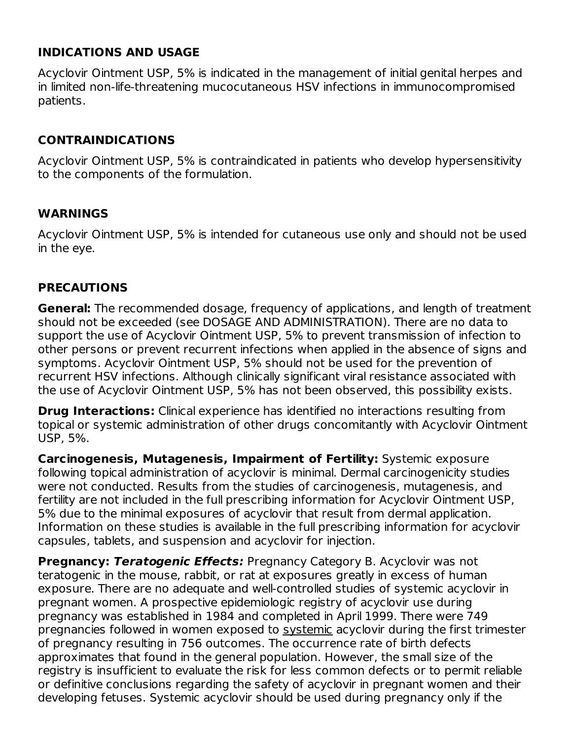### **INDICATIONS AND USAGE**

Acyclovir Ointment USP, 5% is indicated in the management of initial genital herpes and in limited non-life-threatening mucocutaneous HSV infections in immunocompromised patients.

## **CONTRAINDICATIONS**

Acyclovir Ointment USP, 5% is contraindicated in patients who develop hypersensitivity to the components of the formulation.

### **WARNINGS**

Acyclovir Ointment USP, 5% is intended for cutaneous use only and should not be used in the eye.

### **PRECAUTIONS**

**General:** The recommended dosage, frequency of applications, and length of treatment should not be exceeded (see DOSAGE AND ADMINISTRATION). There are no data to support the use of Acyclovir Ointment USP, 5% to prevent transmission of infection to other persons or prevent recurrent infections when applied in the absence of signs and symptoms. Acyclovir Ointment USP, 5% should not be used for the prevention of recurrent HSV infections. Although clinically significant viral resistance associated with the use of Acyclovir Ointment USP, 5% has not been observed, this possibility exists.

**Drug Interactions:** Clinical experience has identified no interactions resulting from topical or systemic administration of other drugs concomitantly with Acyclovir Ointment USP, 5%.

**Carcinogenesis, Mutagenesis, Impairment of Fertility:** Systemic exposure following topical administration of acyclovir is minimal. Dermal carcinogenicity studies were not conducted. Results from the studies of carcinogenesis, mutagenesis, and fertility are not included in the full prescribing information for Acyclovir Ointment USP, 5% due to the minimal exposures of acyclovir that result from dermal application. Information on these studies is available in the full prescribing information for acyclovir capsules, tablets, and suspension and acyclovir for injection.

**Pregnancy: Teratogenic Effects:** Pregnancy Category B. Acyclovir was not teratogenic in the mouse, rabbit, or rat at exposures greatly in excess of human exposure. There are no adequate and well-controlled studies of systemic acyclovir in pregnant women. A prospective epidemiologic registry of acyclovir use during pregnancy was established in 1984 and completed in April 1999. There were 749 pregnancies followed in women exposed to systemic acyclovir during the first trimester of pregnancy resulting in 756 outcomes. The occurrence rate of birth defects approximates that found in the general population. However, the small size of the registry is insufficient to evaluate the risk for less common defects or to permit reliable or definitive conclusions regarding the safety of acyclovir in pregnant women and their developing fetuses. Systemic acyclovir should be used during pregnancy only if the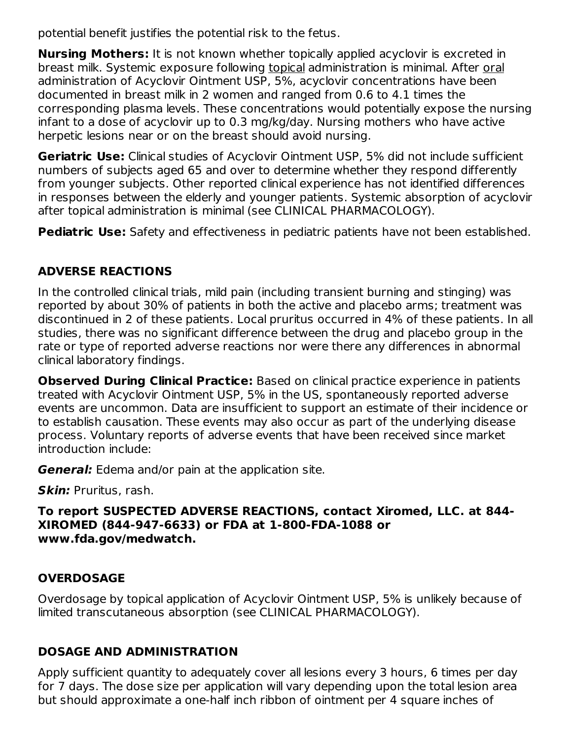potential benefit justifies the potential risk to the fetus.

**Nursing Mothers:** It is not known whether topically applied acyclovir is excreted in breast milk. Systemic exposure following topical administration is minimal. After oral administration of Acyclovir Ointment USP, 5%, acyclovir concentrations have been documented in breast milk in 2 women and ranged from 0.6 to 4.1 times the corresponding plasma levels. These concentrations would potentially expose the nursing infant to a dose of acyclovir up to 0.3 mg/kg/day. Nursing mothers who have active herpetic lesions near or on the breast should avoid nursing.

**Geriatric Use:** Clinical studies of Acyclovir Ointment USP, 5% did not include sufficient numbers of subjects aged 65 and over to determine whether they respond differently from younger subjects. Other reported clinical experience has not identified differences in responses between the elderly and younger patients. Systemic absorption of acyclovir after topical administration is minimal (see CLINICAL PHARMACOLOGY).

**Pediatric Use:** Safety and effectiveness in pediatric patients have not been established.

# **ADVERSE REACTIONS**

In the controlled clinical trials, mild pain (including transient burning and stinging) was reported by about 30% of patients in both the active and placebo arms; treatment was discontinued in 2 of these patients. Local pruritus occurred in 4% of these patients. In all studies, there was no significant difference between the drug and placebo group in the rate or type of reported adverse reactions nor were there any differences in abnormal clinical laboratory findings.

**Observed During Clinical Practice:** Based on clinical practice experience in patients treated with Acyclovir Ointment USP, 5% in the US, spontaneously reported adverse events are uncommon. Data are insufficient to support an estimate of their incidence or to establish causation. These events may also occur as part of the underlying disease process. Voluntary reports of adverse events that have been received since market introduction include:

**General:** Edema and/or pain at the application site.

**Skin:** Pruritus, rash.

### **To report SUSPECTED ADVERSE REACTIONS, contact Xiromed, LLC. at 844- XIROMED (844-947-6633) or FDA at 1-800-FDA-1088 or www.fda.gov/medwatch.**

# **OVERDOSAGE**

Overdosage by topical application of Acyclovir Ointment USP, 5% is unlikely because of limited transcutaneous absorption (see CLINICAL PHARMACOLOGY).

# **DOSAGE AND ADMINISTRATION**

Apply sufficient quantity to adequately cover all lesions every 3 hours, 6 times per day for 7 days. The dose size per application will vary depending upon the total lesion area but should approximate a one-half inch ribbon of ointment per 4 square inches of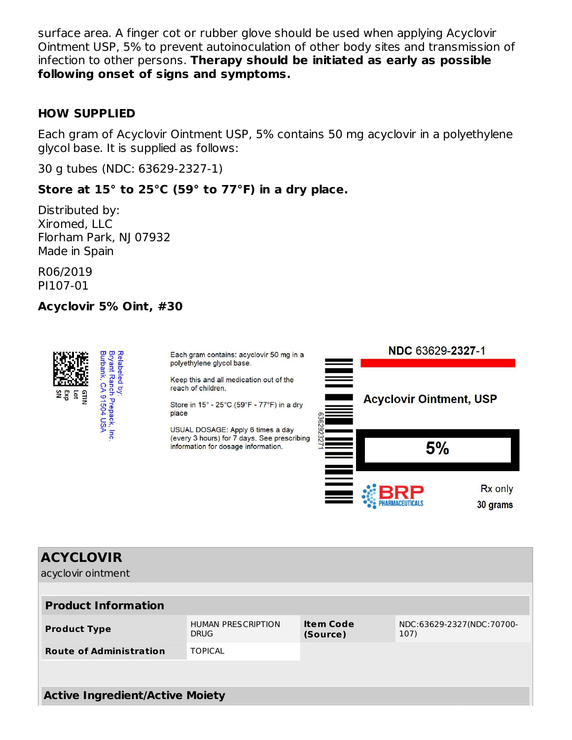surface area. A finger cot or rubber glove should be used when applying Acyclovir Ointment USP, 5% to prevent autoinoculation of other body sites and transmission of infection to other persons. **Therapy should be initiated as early as possible following onset of signs and symptoms.**

#### **HOW SUPPLIED**

Each gram of Acyclovir Ointment USP, 5% contains 50 mg acyclovir in a polyethylene glycol base. It is supplied as follows:

30 g tubes (NDC: 63629-2327-1)

### **Store at 15° to 25°C (59° to 77°F) in a dry place.**

Distributed by: Xiromed, LLC Florham Park, NJ 07932 Made in Spain

R06/2019 PI107-01

#### **Acyclovir 5% Oint, #30**



30 grams

| <b>ACYCLOVIR</b><br>acyclovir ointment   |                              |                                   |  |  |  |  |  |
|------------------------------------------|------------------------------|-----------------------------------|--|--|--|--|--|
| <b>Product Information</b>               |                              |                                   |  |  |  |  |  |
| <b>HUMAN PRESCRIPTION</b><br><b>DRUG</b> | <b>Item Code</b><br>(Source) | NDC:63629-2327(NDC:70700-<br>107) |  |  |  |  |  |
| <b>TOPICAL</b>                           |                              |                                   |  |  |  |  |  |
|                                          |                              |                                   |  |  |  |  |  |
| <b>Active Ingredient/Active Moiety</b>   |                              |                                   |  |  |  |  |  |
|                                          |                              |                                   |  |  |  |  |  |